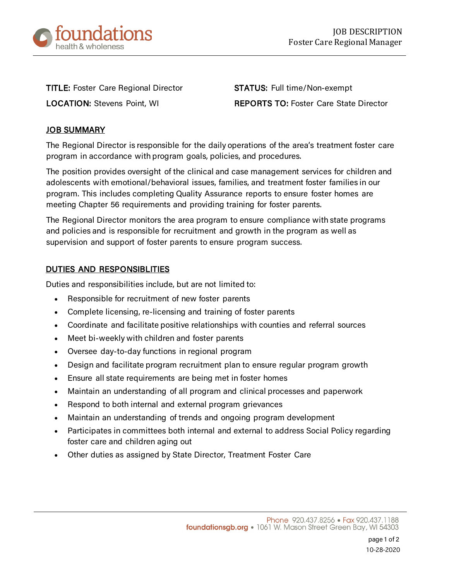

TITLE: Foster Care Regional Director **STATUS:** Full time/Non-exempt

LOCATION: Stevens Point, WI REPORTS TO: Foster Care State Director

## JOB SUMMARY

The Regional Director is responsible for the daily operations of the area's treatment foster care program in accordance with program goals, policies, and procedures.

The position provides oversight of the clinical and case management services for children and adolescents with emotional/behavioral issues, families, and treatment foster families in our program. This includes completing Quality Assurance reports to ensure foster homes are meeting Chapter 56 requirements and providing training for foster parents.

The Regional Director monitors the area program to ensure compliance with state programs and policies and is responsible for recruitment and growth in the program as well as supervision and support of foster parents to ensure program success.

## DUTIES AND RESPONSIBLITIES

Duties and responsibilities include, but are not limited to:

- Responsible for recruitment of new foster parents
- Complete licensing, re-licensing and training of foster parents
- Coordinate and facilitate positive relationships with counties and referral sources
- Meet bi-weekly with children and foster parents
- Oversee day-to-day functions in regional program
- Design and facilitate program recruitment plan to ensure regular program growth
- Ensure all state requirements are being met in foster homes
- Maintain an understanding of all program and clinical processes and paperwork
- Respond to both internal and external program grievances
- Maintain an understanding of trends and ongoing program development
- Participates in committees both internal and external to address Social Policy regarding foster care and children aging out
- Other duties as assigned by State Director, Treatment Foster Care